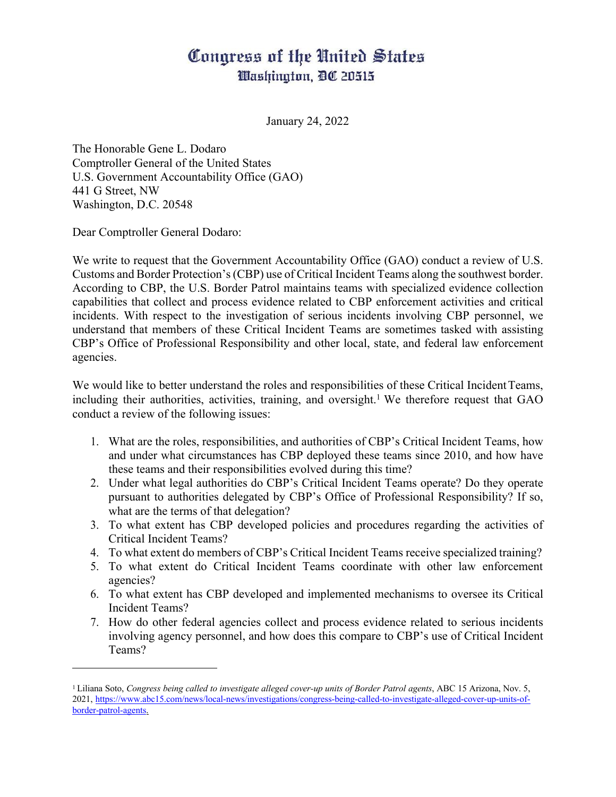## Congress of the United States Washington, DC 20515

January 24, 2022

The Honorable Gene L. Dodaro Comptroller General of the United States U.S. Government Accountability Office (GAO) 441 G Street, NW Washington, D.C. 20548

Dear Comptroller General Dodaro:

We write to request that the Government Accountability Office (GAO) conduct a review of U.S. Customs and Border Protection's(CBP) use of Critical Incident Teams along the southwest border. According to CBP, the U.S. Border Patrol maintains teams with specialized evidence collection capabilities that collect and process evidence related to CBP enforcement activities and critical incidents. With respect to the investigation of serious incidents involving CBP personnel, we understand that members of these Critical Incident Teams are sometimes tasked with assisting CBP's Office of Professional Responsibility and other local, state, and federal law enforcement agencies.

We would like to better understand the roles and responsibilities of these Critical Incident Teams, including their authorities, activities, training, and oversight.<sup>1</sup> We therefore request that GAO conduct a review of the following issues:

- 1. What are the roles, responsibilities, and authorities of CBP's Critical Incident Teams, how and under what circumstances has CBP deployed these teams since 2010, and how have these teams and their responsibilities evolved during this time?
- 2. Under what legal authorities do CBP's Critical Incident Teams operate? Do they operate pursuant to authorities delegated by CBP's Office of Professional Responsibility? If so, what are the terms of that delegation?
- 3. To what extent has CBP developed policies and procedures regarding the activities of Critical Incident Teams?
- 4. To what extent do members of CBP's Critical Incident Teams receive specialized training?
- 5. To what extent do Critical Incident Teams coordinate with other law enforcement agencies?
- 6. To what extent has CBP developed and implemented mechanisms to oversee its Critical Incident Teams?
- 7. How do other federal agencies collect and process evidence related to serious incidents involving agency personnel, and how does this compare to CBP's use of Critical Incident Teams?

<sup>1</sup> Liliana Soto, *Congress being called to investigate alleged cover-up units of Border Patrol agents*, ABC 15 Arizona, Nov. 5, 2021, https://www.abc15.com/news/local-news/investigations/congress-being-called-to-investigate-alleged-cover-up-units-ofborder-patrol-agents.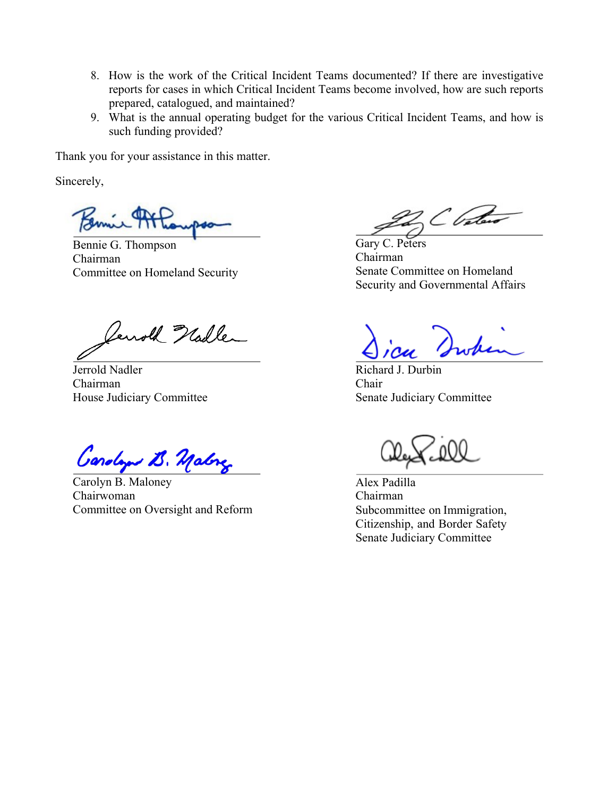- 8. How is the work of the Critical Incident Teams documented? If there are investigative reports for cases in which Critical Incident Teams become involved, how are such reports prepared, catalogued, and maintained?
- 9. What is the annual operating budget for the various Critical Incident Teams, and how is such funding provided?

Thank you for your assistance in this matter.

Sincerely,

Bennie G. Thompson Chairman Committee on Homeland Security

Terrold Nadler

Jerrold Nadler Chairman House Judiciary Committee

Gardage B. Malong

Carolyn B. Maloney Chairwoman Committee on Oversight and Reform

C Cataro

Gary C. Peters Chairman Senate Committee on Homeland Security and Governmental Affairs

Richard J. Durbin Chair Senate Judiciary Committee

Alex Padilla Chairman Subcommittee on Immigration, Citizenship, and Border Safety Senate Judiciary Committee